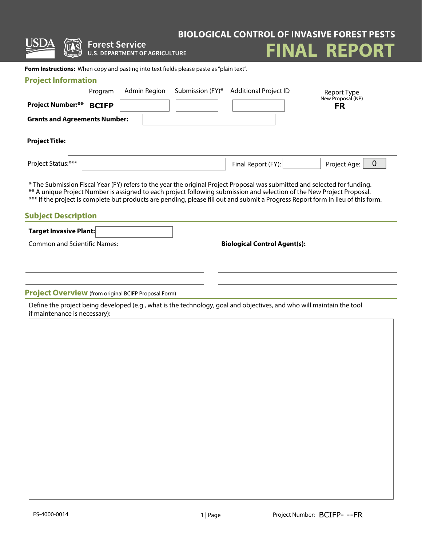|                                      | <b>Forest Service</b>                                                                                                                                                                                                                                                                                                                                                                    |                  |                                     | <b>BIOLOGICAL CONTROL OF INVASIVE FOREST PESTS</b> |
|--------------------------------------|------------------------------------------------------------------------------------------------------------------------------------------------------------------------------------------------------------------------------------------------------------------------------------------------------------------------------------------------------------------------------------------|------------------|-------------------------------------|----------------------------------------------------|
|                                      | <b>U.S. DEPARTMENT OF AGRICULTURE</b>                                                                                                                                                                                                                                                                                                                                                    |                  |                                     | <b>FINAL REPORT</b>                                |
|                                      | Form Instructions: When copy and pasting into text fields please paste as "plain text".                                                                                                                                                                                                                                                                                                  |                  |                                     |                                                    |
| <b>Project Information</b>           |                                                                                                                                                                                                                                                                                                                                                                                          |                  |                                     |                                                    |
|                                      | Admin Region<br>Program                                                                                                                                                                                                                                                                                                                                                                  | Submission (FY)* | <b>Additional Project ID</b>        | Report Type<br>New Proposal (NP)                   |
| <b>Project Number:**</b>             | <b>BCIFP</b>                                                                                                                                                                                                                                                                                                                                                                             |                  |                                     | <b>FR</b>                                          |
| <b>Grants and Agreements Number:</b> |                                                                                                                                                                                                                                                                                                                                                                                          |                  |                                     |                                                    |
| <b>Project Title:</b>                |                                                                                                                                                                                                                                                                                                                                                                                          |                  |                                     |                                                    |
| Project Status:***                   |                                                                                                                                                                                                                                                                                                                                                                                          |                  | Final Report (FY):                  | $\mathbf 0$<br>Project Age:                        |
|                                      | * The Submission Fiscal Year (FY) refers to the year the original Project Proposal was submitted and selected for funding.<br>** A unique Project Number is assigned to each project following submission and selection of the New Project Proposal.<br>*** If the project is complete but products are pending, please fill out and submit a Progress Report form in lieu of this form. |                  |                                     |                                                    |
| <b>Subject Description</b>           |                                                                                                                                                                                                                                                                                                                                                                                          |                  |                                     |                                                    |
| <b>Target Invasive Plant:</b>        |                                                                                                                                                                                                                                                                                                                                                                                          |                  |                                     |                                                    |
| <b>Common and Scientific Names:</b>  |                                                                                                                                                                                                                                                                                                                                                                                          |                  | <b>Biological Control Agent(s):</b> |                                                    |
|                                      |                                                                                                                                                                                                                                                                                                                                                                                          |                  |                                     |                                                    |
|                                      |                                                                                                                                                                                                                                                                                                                                                                                          |                  |                                     |                                                    |
| if maintenance is necessary):        | <b>Project Overview</b> (from original BCIFP Proposal Form)<br>Define the project being developed (e.g., what is the technology, goal and objectives, and who will maintain the tool                                                                                                                                                                                                     |                  |                                     |                                                    |
|                                      |                                                                                                                                                                                                                                                                                                                                                                                          |                  |                                     |                                                    |
|                                      |                                                                                                                                                                                                                                                                                                                                                                                          |                  |                                     |                                                    |
|                                      |                                                                                                                                                                                                                                                                                                                                                                                          |                  |                                     |                                                    |
|                                      |                                                                                                                                                                                                                                                                                                                                                                                          |                  |                                     |                                                    |
|                                      |                                                                                                                                                                                                                                                                                                                                                                                          |                  |                                     |                                                    |
|                                      |                                                                                                                                                                                                                                                                                                                                                                                          |                  |                                     |                                                    |
|                                      |                                                                                                                                                                                                                                                                                                                                                                                          |                  |                                     |                                                    |
|                                      |                                                                                                                                                                                                                                                                                                                                                                                          |                  |                                     |                                                    |
|                                      |                                                                                                                                                                                                                                                                                                                                                                                          |                  |                                     |                                                    |
|                                      |                                                                                                                                                                                                                                                                                                                                                                                          |                  |                                     |                                                    |
|                                      |                                                                                                                                                                                                                                                                                                                                                                                          |                  |                                     |                                                    |
|                                      |                                                                                                                                                                                                                                                                                                                                                                                          |                  |                                     |                                                    |
|                                      |                                                                                                                                                                                                                                                                                                                                                                                          |                  |                                     |                                                    |
|                                      |                                                                                                                                                                                                                                                                                                                                                                                          |                  |                                     |                                                    |
| FS-4000-0014                         |                                                                                                                                                                                                                                                                                                                                                                                          | 1   Page         |                                     | Project Number: BCIFP---FR                         |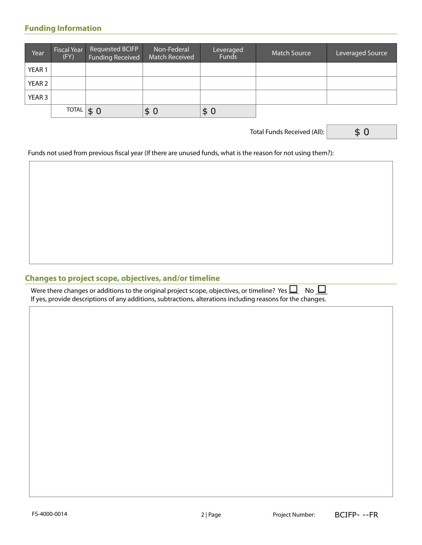### **Funding Information**

| Year              | <b>Fiscal Year</b><br>(FY) | Requested BCIFP<br>Funding Received | Non-Federal<br><b>Match Received</b> | Leveraged<br><b>Funds</b> | <b>Match Source</b> | Leveraged Source |
|-------------------|----------------------------|-------------------------------------|--------------------------------------|---------------------------|---------------------|------------------|
| YEAR <sub>1</sub> |                            |                                     |                                      |                           |                     |                  |
| YEAR 2            |                            |                                     |                                      |                           |                     |                  |
| YEAR 3            |                            |                                     |                                      |                           |                     |                  |
|                   | <b>TOTAL</b>               | \$0                                 | \$<br>$\overline{0}$                 | \$0                       |                     |                  |

Total Funds Received (All):

\$ 0

Funds not used from previous fiscal year (If there are unused funds, what is the reason for not using them?):

#### **Changes to project scope, objectives, and/or timeline**

| Were there changes or additions to the original project scope, objectives, or timeline? Yes $\Box$ No $\Box$ |  |
|--------------------------------------------------------------------------------------------------------------|--|
| If yes, provide descriptions of any additions, subtractions, alterations including reasons for the changes.  |  |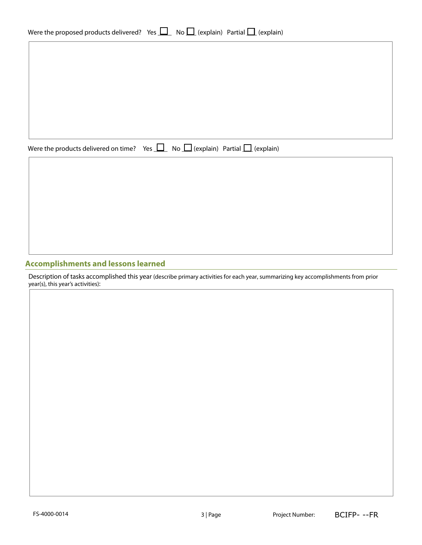| Were the proposed products delivered? Yes $\Box$ No $\Box$ (explain) Partial $\Box$ (explain) |  |  |  |  |  |
|-----------------------------------------------------------------------------------------------|--|--|--|--|--|
|-----------------------------------------------------------------------------------------------|--|--|--|--|--|

Were the products delivered on time? Yes  $\Box$  No  $\Box$  (explain) Partial  $\Box$  (explain)

#### **Accomplishments and lessons learned**

Description of tasks accomplished this year (describe primary activities for each year, summarizing key accomplishments from prior year(s), this year's activities):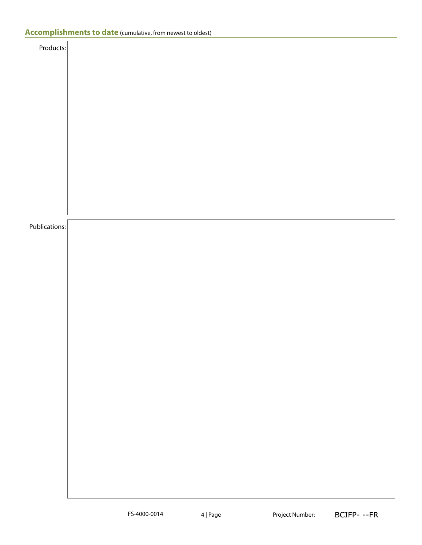| Products:     |  |  |
|---------------|--|--|
|               |  |  |
|               |  |  |
|               |  |  |
|               |  |  |
|               |  |  |
|               |  |  |
|               |  |  |
|               |  |  |
|               |  |  |
|               |  |  |
|               |  |  |
|               |  |  |
|               |  |  |
|               |  |  |
|               |  |  |
|               |  |  |
|               |  |  |
|               |  |  |
|               |  |  |
|               |  |  |
|               |  |  |
|               |  |  |
|               |  |  |
|               |  |  |
| Publications: |  |  |
|               |  |  |
|               |  |  |
|               |  |  |
|               |  |  |
|               |  |  |
|               |  |  |
|               |  |  |
|               |  |  |
|               |  |  |
|               |  |  |
|               |  |  |
|               |  |  |
|               |  |  |
|               |  |  |
|               |  |  |
|               |  |  |
|               |  |  |
|               |  |  |
|               |  |  |
|               |  |  |
|               |  |  |
|               |  |  |
|               |  |  |
|               |  |  |
|               |  |  |
|               |  |  |
|               |  |  |
|               |  |  |
|               |  |  |
|               |  |  |
|               |  |  |
|               |  |  |
|               |  |  |
|               |  |  |
|               |  |  |
|               |  |  |
|               |  |  |
|               |  |  |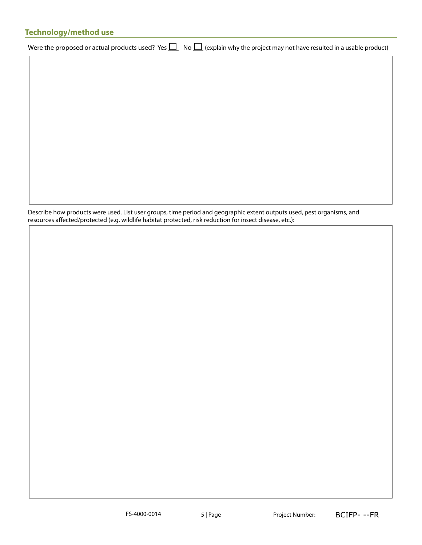### **Technology/method use**

Were the proposed or actual products used? Yes  $\Box$  No  $\Box$  (explain why the project may not have resulted in a usable product)

Describe how products were used. List user groups, time period and geographic extent outputs used, pest organisms, and resources affected/protected (e.g. wildlife habitat protected, risk reduction for insect disease, etc.):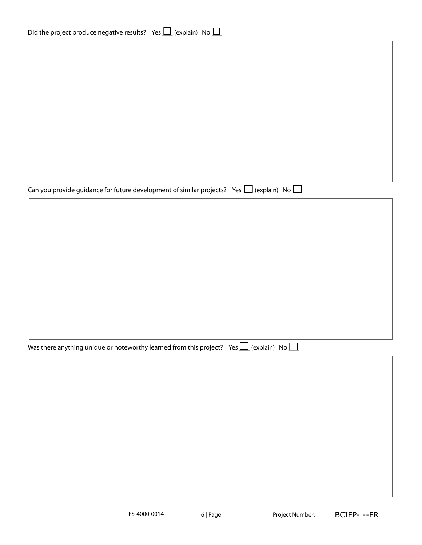Can you provide guidance for future development of similar projects? Yes  $\Box$  (explain) No  $\Box$ 

Was there anything unique or noteworthy learned from this project? Yes  $\Box$  (explain) No  $\Box$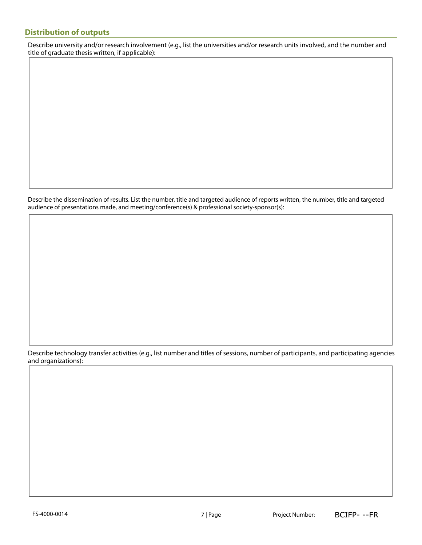#### **Distribution of outputs**

Describe university and/or research involvement (e.g., list the universities and/or research units involved, and the number and title of graduate thesis written, if applicable):

Describe the dissemination of results. List the number, title and targeted audience of reports written, the number, title and targeted audience of presentations made, and meeting/conference(s) & professional society-sponsor(s):

Describe technology transfer activities (e.g., list number and titles of sessions, number of participants, and participating agencies and organizations):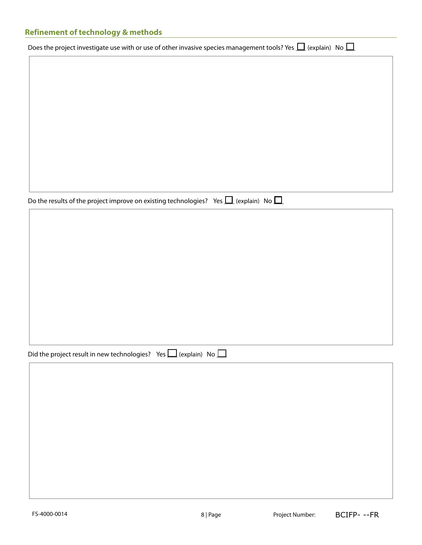# **Refinement of technology & methods**

| Does the project investigate use with or use of other invasive species management tools? Yes $\Box$ (explain) No $\Box$ |
|-------------------------------------------------------------------------------------------------------------------------|
|                                                                                                                         |

Do the results of the project improve on existing technologies? Yes  $\Box$  (explain) No  $\Box$ 

| Did the project result in new technologies? Yes $\Box$ (explain) No $\Box$ |  |  |  |  |
|----------------------------------------------------------------------------|--|--|--|--|
|----------------------------------------------------------------------------|--|--|--|--|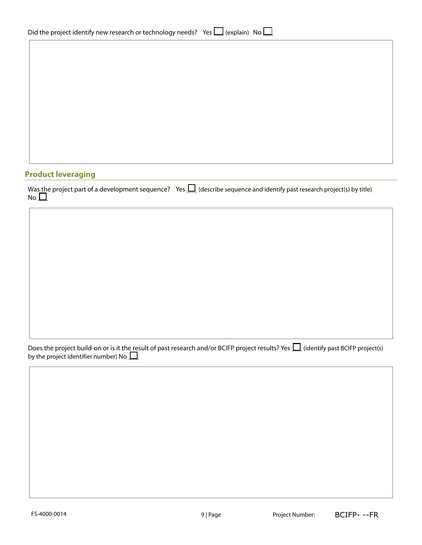| Did the project identify new research or technology needs? Yes $\Box$ (explain) No $\Box$ |  |  |  |  |
|-------------------------------------------------------------------------------------------|--|--|--|--|
|-------------------------------------------------------------------------------------------|--|--|--|--|

## **Product leveraging**

|              | Was the project part of a development sequence? Yes $\Box$ (describe sequence and identify past research project(s) by title) |
|--------------|-------------------------------------------------------------------------------------------------------------------------------|
| No $\square$ |                                                                                                                               |

Does the project build-on or is it the result of past research and/or BCIFP project results? Yes  $\bigsqcup$  (identify past BCIFP project(s) by the project identifier number) No  $\bigsqcup$